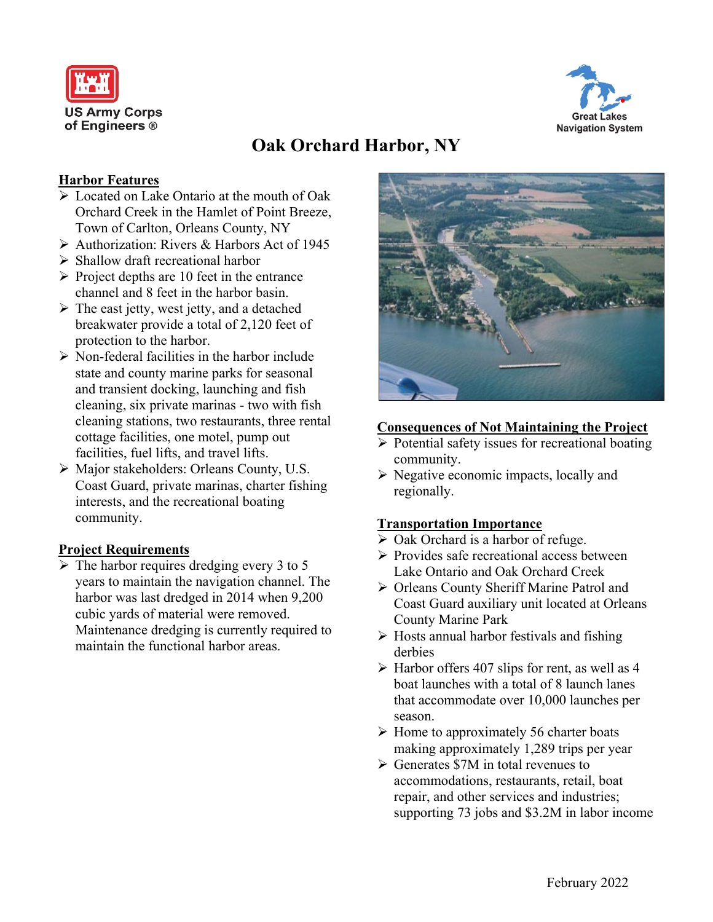



# **Oak Orchard Harbor, NY**

## **Harbor Features**

- ➢ Located on Lake Ontario at the mouth of Oak Orchard Creek in the Hamlet of Point Breeze, Town of Carlton, Orleans County, NY
- ➢ Authorization: Rivers & Harbors Act of 1945
- ➢ Shallow draft recreational harbor
- $\triangleright$  Project depths are 10 feet in the entrance channel and 8 feet in the harbor basin.
- $\triangleright$  The east jetty, west jetty, and a detached breakwater provide a total of 2,120 feet of protection to the harbor.
- ➢ Non-federal facilities in the harbor include state and county marine parks for seasonal and transient docking, launching and fish cleaning, six private marinas - two with fish cleaning stations, two restaurants, three rental cottage facilities, one motel, pump out facilities, fuel lifts, and travel lifts.
- ➢ Major stakeholders: Orleans County, U.S. Coast Guard, private marinas, charter fishing interests, and the recreational boating community.

# **Project Requirements**

 $\triangleright$  The harbor requires dredging every 3 to 5 years to maintain the navigation channel. The harbor was last dredged in 2014 when 9,200 cubic yards of material were removed. Maintenance dredging is currently required to maintain the functional harbor areas.



#### **Consequences of Not Maintaining the Project**

- ➢ Potential safety issues for recreational boating community.
- ➢ Negative economic impacts, locally and regionally.

#### **Transportation Importance**

- ➢ Oak Orchard is a harbor of refuge.
- ➢ Provides safe recreational access between Lake Ontario and Oak Orchard Creek
- ➢ Orleans County Sheriff Marine Patrol and Coast Guard auxiliary unit located at Orleans County Marine Park
- $\triangleright$  Hosts annual harbor festivals and fishing derbies
- $\triangleright$  Harbor offers 407 slips for rent, as well as 4 boat launches with a total of 8 launch lanes that accommodate over 10,000 launches per season.
- ➢ Home to approximately 56 charter boats making approximately 1,289 trips per year
- ➢ Generates \$7M in total revenues to accommodations, restaurants, retail, boat repair, and other services and industries; supporting 73 jobs and \$3.2M in labor income